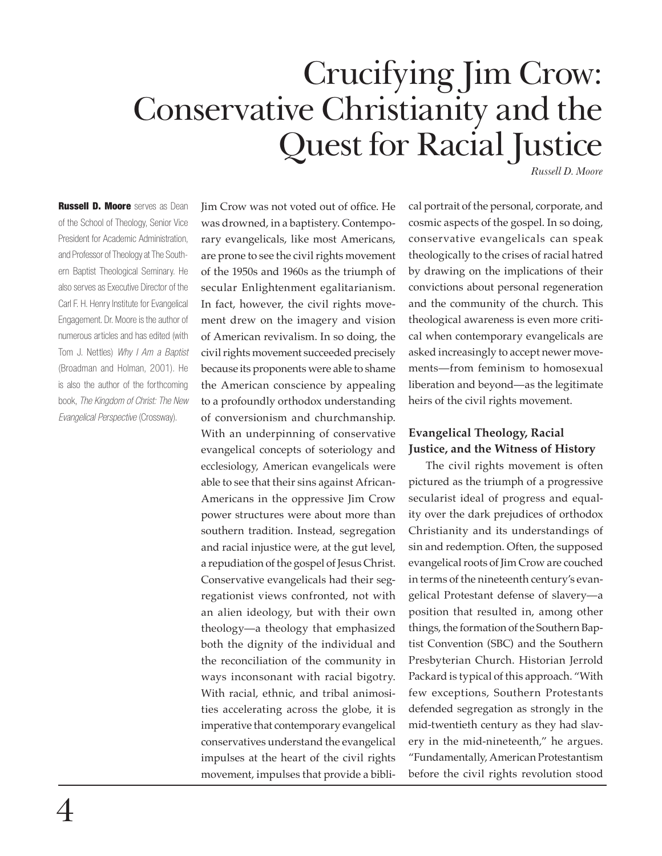# Crucifying Jim Crow: Conservative Christianity and the Quest for Racial Justice

*Russell D. Moore*

**Russell D. Moore** serves as Dean of the School of Theology, Senior Vice President for Academic Administration, and Professor of Theology at The Southern Baptist Theological Seminary. He also serves as Executive Director of the Carl F. H. Henry Institute for Evangelical Engagement. Dr. Moore is the author of numerous articles and has edited (with Tom J. Nettles) *Why I Am a Baptist*  (Broadman and Holman, 2001). He is also the author of the forthcoming book, *The Kingdom of Christ: The New Evangelical Perspective* (Crossway).

Jim Crow was not voted out of office. He was drowned, in a baptistery. Contemporary evangelicals, like most Americans, are prone to see the civil rights movement of the 1950s and 1960s as the triumph of secular Enlightenment egalitarianism. In fact, however, the civil rights movement drew on the imagery and vision of American revivalism. In so doing, the civil rights movement succeeded precisely because its proponents were able to shame the American conscience by appealing to a profoundly orthodox understanding of conversionism and churchmanship. With an underpinning of conservative evangelical concepts of soteriology and ecclesiology, American evangelicals were able to see that their sins against African-Americans in the oppressive Jim Crow power structures were about more than southern tradition. Instead, segregation and racial injustice were, at the gut level, a repudiation of the gospel of Jesus Christ. Conservative evangelicals had their segregationist views confronted, not with an alien ideology, but with their own theology—a theology that emphasized both the dignity of the individual and the reconciliation of the community in ways inconsonant with racial bigotry. With racial, ethnic, and tribal animosities accelerating across the globe, it is imperative that contemporary evangelical conservatives understand the evangelical impulses at the heart of the civil rights movement, impulses that provide a biblical portrait of the personal, corporate, and cosmic aspects of the gospel. In so doing, conservative evangelicals can speak theologically to the crises of racial hatred by drawing on the implications of their convictions about personal regeneration and the community of the church. This theological awareness is even more critical when contemporary evangelicals are asked increasingly to accept newer movements—from feminism to homosexual liberation and beyond—as the legitimate heirs of the civil rights movement.

## **Evangelical Theology, Racial Justice, and the Witness of History**

The civil rights movement is often pictured as the triumph of a progressive secularist ideal of progress and equality over the dark prejudices of orthodox Christianity and its understandings of sin and redemption. Often, the supposed evangelical roots of Jim Crow are couched in terms of the nineteenth century's evangelical Protestant defense of slavery—a position that resulted in, among other things, the formation of the Southern Baptist Convention (SBC) and the Southern Presbyterian Church. Historian Jerrold Packard is typical of this approach. "With few exceptions, Southern Protestants defended segregation as strongly in the mid-twentieth century as they had slavery in the mid-nineteenth," he argues. "Fundamentally, American Protestantism before the civil rights revolution stood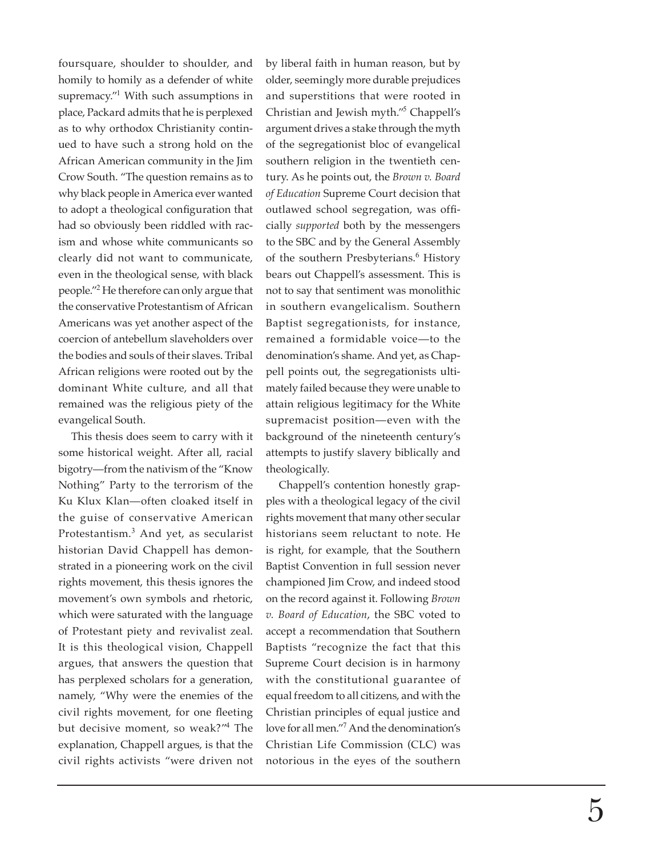foursquare, shoulder to shoulder, and homily to homily as a defender of white supremacy."<sup>1</sup> With such assumptions in place, Packard admits that he is perplexed as to why orthodox Christianity continued to have such a strong hold on the African American community in the Jim Crow South. "The question remains as to why black people in America ever wanted to adopt a theological configuration that had so obviously been riddled with racism and whose white communicants so clearly did not want to communicate, even in the theological sense, with black people."<sup>2</sup> He therefore can only argue that the conservative Protestantism of African Americans was yet another aspect of the coercion of antebellum slaveholders over the bodies and souls of their slaves. Tribal African religions were rooted out by the dominant White culture, and all that remained was the religious piety of the evangelical South.

This thesis does seem to carry with it some historical weight. After all, racial bigotry—from the nativism of the "Know Nothing" Party to the terrorism of the Ku Klux Klan—often cloaked itself in the guise of conservative American Protestantism.<sup>3</sup> And yet, as secularist historian David Chappell has demonstrated in a pioneering work on the civil rights movement, this thesis ignores the movement's own symbols and rhetoric, which were saturated with the language of Protestant piety and revivalist zeal. It is this theological vision, Chappell argues, that answers the question that has perplexed scholars for a generation, namely, "Why were the enemies of the civil rights movement, for one fleeting but decisive moment, so weak?"<sup>4</sup> The explanation, Chappell argues, is that the civil rights activists "were driven not

by liberal faith in human reason, but by older, seemingly more durable prejudices and superstitions that were rooted in Christian and Jewish myth."<sup>5</sup> Chappell's argument drives a stake through the myth of the segregationist bloc of evangelical southern religion in the twentieth century. As he points out, the *Brown v. Board of Education* Supreme Court decision that outlawed school segregation, was officially *supported* both by the messengers to the SBC and by the General Assembly of the southern Presbyterians.<sup>6</sup> History bears out Chappell's assessment. This is not to say that sentiment was monolithic in southern evangelicalism. Southern Baptist segregationists, for instance, remained a formidable voice—to the denomination's shame. And yet, as Chappell points out, the segregationists ultimately failed because they were unable to attain religious legitimacy for the White supremacist position—even with the background of the nineteenth century's attempts to justify slavery biblically and theologically.

Chappell's contention honestly grapples with a theological legacy of the civil rights movement that many other secular historians seem reluctant to note. He is right, for example, that the Southern Baptist Convention in full session never championed Jim Crow, and indeed stood on the record against it. Following *Brown v. Board of Education*, the SBC voted to accept a recommendation that Southern Baptists "recognize the fact that this Supreme Court decision is in harmony with the constitutional guarantee of equal freedom to all citizens, and with the Christian principles of equal justice and love for all men."<sup>7</sup> And the denomination's Christian Life Commission (CLC) was notorious in the eyes of the southern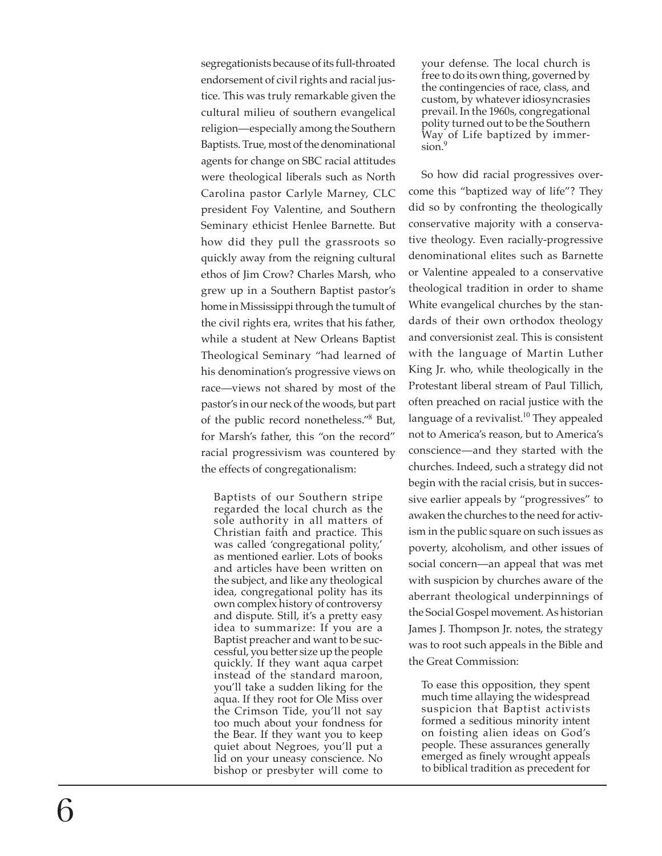segregationists because of its full-throated endorsement of civil rights and racial justice. This was truly remarkable given the cultural milieu of southern evangelical religion—especially among the Southern Baptists. True, most of the denominational agents for change on SBC racial attitudes were theological liberals such as North Carolina pastor Carlyle Marney, CLC president Foy Valentine, and Southern Seminary ethicist Henlee Barnette. But how did they pull the grassroots so quickly away from the reigning cultural ethos of Jim Crow? Charles Marsh, who grew up in a Southern Baptist pastor's home in Mississippi through the tumult of the civil rights era, writes that his father, while a student at New Orleans Baptist Theological Seminary "had learned of his denomination's progressive views on race—views not shared by most of the pastor's in our neck of the woods, but part of the public record nonetheless."<sup>8</sup> But, for Marsh's father, this "on the record" racial progressivism was countered by the effects of congregationalism:

Baptists of our Southern stripe regarded the local church as the sole authority in all matters of Christian faith and practice. This was called 'congregational polity,' as mentioned earlier. Lots of books and articles have been written on the subject, and like any theological idea, congregational polity has its own complex history of controversy and dispute. Still, it's a pretty easy idea to summarize: If you are a Baptist preacher and want to be successful, you better size up the people quickly. If they want aqua carpet instead of the standard maroon, you'll take a sudden liking for the aqua. If they root for Ole Miss over the Crimson Tide, you'll not say too much about your fondness for the Bear. If they want you to keep quiet about Negroes, you'll put a lid on your uneasy conscience. No bishop or presbyter will come to

your defense. The local church is free to do its own thing, governed by the contingencies of race, class, and custom, by whatever idiosyncrasies prevail. In the 1960s, congregational polity turned out to be the Southern Way of Life baptized by immersion.<sup>9</sup>

So how did racial progressives overcome this "baptized way of life"? They did so by confronting the theologically conservative majority with a conservative theology. Even racially-progressive denominational elites such as Barnette or Valentine appealed to a conservative theological tradition in order to shame White evangelical churches by the standards of their own orthodox theology and conversionist zeal. This is consistent with the language of Martin Luther King Jr. who, while theologically in the Protestant liberal stream of Paul Tillich, often preached on racial justice with the language of a revivalist.<sup>10</sup> They appealed not to America's reason, but to America's conscience—and they started with the churches. Indeed, such a strategy did not begin with the racial crisis, but in successive earlier appeals by "progressives" to awaken the churches to the need for activism in the public square on such issues as poverty, alcoholism, and other issues of social concern—an appeal that was met with suspicion by churches aware of the aberrant theological underpinnings of the Social Gospel movement. As historian James J. Thompson Jr. notes, the strategy was to root such appeals in the Bible and the Great Commission:

To ease this opposition, they spent much time allaying the widespread suspicion that Baptist activists formed a seditious minority intent on foisting alien ideas on God's people. These assurances generally emerged as finely wrought appeals to biblical tradition as precedent for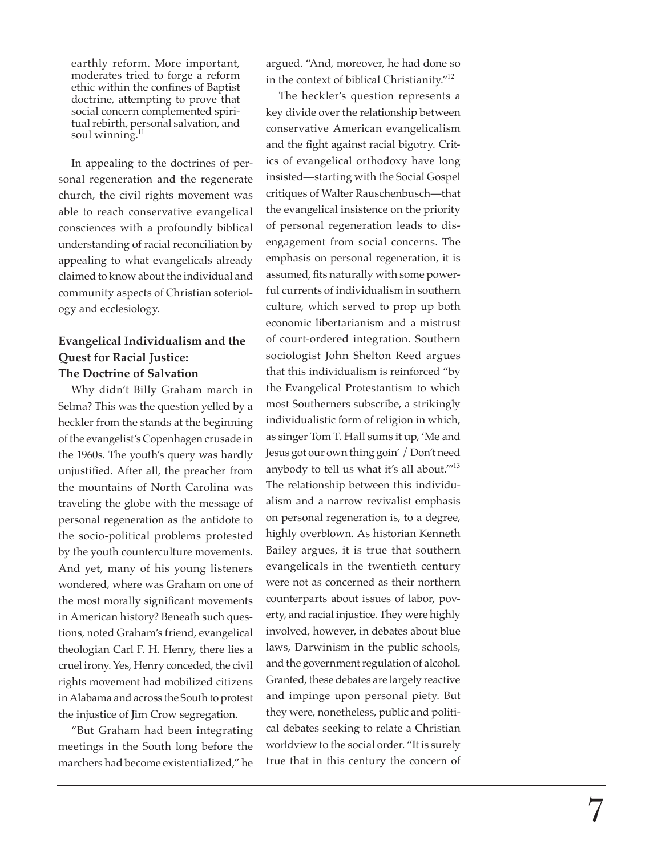earthly reform. More important, moderates tried to forge a reform ethic within the confines of Baptist doctrine, attempting to prove that social concern complemented spiritual rebirth, personal salvation, and soul winning.<sup>11</sup>

In appealing to the doctrines of personal regeneration and the regenerate church, the civil rights movement was able to reach conservative evangelical consciences with a profoundly biblical understanding of racial reconciliation by appealing to what evangelicals already claimed to know about the individual and community aspects of Christian soteriology and ecclesiology.

## **Evangelical Individualism and the Quest for Racial Justice: The Doctrine of Salvation**

Why didn't Billy Graham march in Selma? This was the question yelled by a heckler from the stands at the beginning of the evangelist's Copenhagen crusade in the 1960s. The youth's query was hardly unjustified. After all, the preacher from the mountains of North Carolina was traveling the globe with the message of personal regeneration as the antidote to the socio-political problems protested by the youth counterculture movements. And yet, many of his young listeners wondered, where was Graham on one of the most morally significant movements in American history? Beneath such questions, noted Graham's friend, evangelical theologian Carl F. H. Henry, there lies a cruel irony. Yes, Henry conceded, the civil rights movement had mobilized citizens in Alabama and across the South to protest the injustice of Jim Crow segregation.

"But Graham had been integrating meetings in the South long before the marchers had become existentialized," he

argued. "And, moreover, he had done so in the context of biblical Christianity."<sup>12</sup>

The heckler's question represents a key divide over the relationship between conservative American evangelicalism and the fight against racial bigotry. Critics of evangelical orthodoxy have long insisted—starting with the Social Gospel critiques of Walter Rauschenbusch—that the evangelical insistence on the priority of personal regeneration leads to disengagement from social concerns. The emphasis on personal regeneration, it is assumed, fits naturally with some powerful currents of individualism in southern culture, which served to prop up both economic libertarianism and a mistrust of court-ordered integration. Southern sociologist John Shelton Reed argues that this individualism is reinforced "by the Evangelical Protestantism to which most Southerners subscribe, a strikingly individualistic form of religion in which, as singer Tom T. Hall sums it up, 'Me and Jesus got our own thing goin' / Don't need anybody to tell us what it's all about."<sup>13</sup> The relationship between this individualism and a narrow revivalist emphasis on personal regeneration is, to a degree, highly overblown. As historian Kenneth Bailey argues, it is true that southern evangelicals in the twentieth century were not as concerned as their northern counterparts about issues of labor, poverty, and racial injustice. They were highly involved, however, in debates about blue laws, Darwinism in the public schools, and the government regulation of alcohol. Granted, these debates are largely reactive and impinge upon personal piety. But they were, nonetheless, public and political debates seeking to relate a Christian worldview to the social order. "It is surely true that in this century the concern of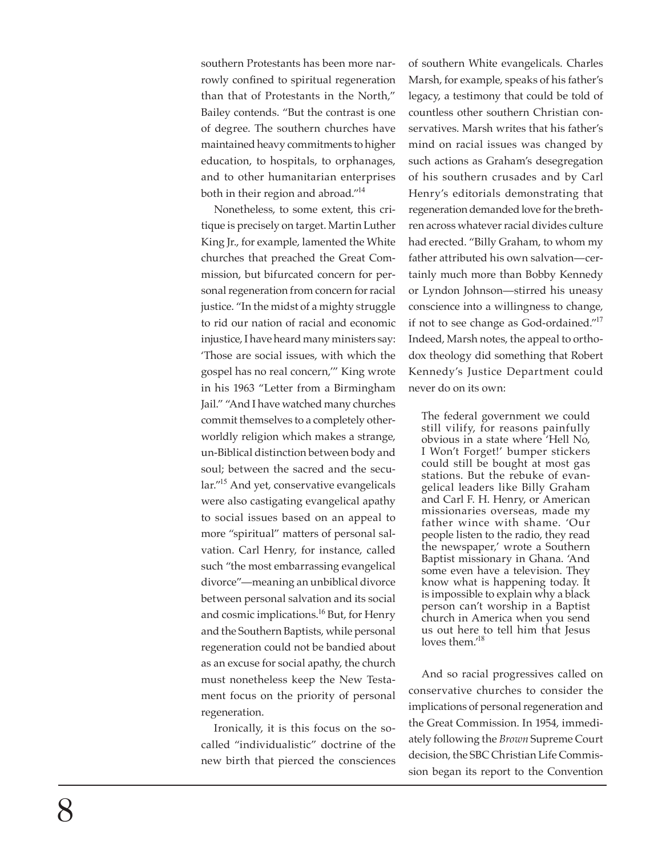southern Protestants has been more narrowly confined to spiritual regeneration than that of Protestants in the North," Bailey contends. "But the contrast is one of degree. The southern churches have maintained heavy commitments to higher education, to hospitals, to orphanages, and to other humanitarian enterprises both in their region and abroad."<sup>14</sup>

Nonetheless, to some extent, this critique is precisely on target. Martin Luther King Jr., for example, lamented the White churches that preached the Great Commission, but bifurcated concern for personal regeneration from concern for racial justice. "In the midst of a mighty struggle to rid our nation of racial and economic injustice, I have heard many ministers say: 'Those are social issues, with which the gospel has no real concern,'" King wrote in his 1963 "Letter from a Birmingham Jail." "And I have watched many churches commit themselves to a completely otherworldly religion which makes a strange, un-Biblical distinction between body and soul; between the sacred and the secular."<sup>15</sup> And yet, conservative evangelicals were also castigating evangelical apathy to social issues based on an appeal to more "spiritual" matters of personal salvation. Carl Henry, for instance, called such "the most embarrassing evangelical divorce"—meaning an unbiblical divorce between personal salvation and its social and cosmic implications.<sup>16</sup> But, for Henry and the Southern Baptists, while personal regeneration could not be bandied about as an excuse for social apathy, the church must nonetheless keep the New Testament focus on the priority of personal regeneration.

Ironically, it is this focus on the socalled "individualistic" doctrine of the new birth that pierced the consciences of southern White evangelicals. Charles Marsh, for example, speaks of his father's legacy, a testimony that could be told of countless other southern Christian conservatives. Marsh writes that his father's mind on racial issues was changed by such actions as Graham's desegregation of his southern crusades and by Carl Henry's editorials demonstrating that regeneration demanded love for the brethren across whatever racial divides culture had erected. "Billy Graham, to whom my father attributed his own salvation—certainly much more than Bobby Kennedy or Lyndon Johnson—stirred his uneasy conscience into a willingness to change, if not to see change as God-ordained."<sup>17</sup> Indeed, Marsh notes, the appeal to orthodox theology did something that Robert Kennedy's Justice Department could never do on its own:

The federal government we could still vilify, for reasons painfully obvious in a state where 'Hell No, I Won't Forget!' bumper stickers could still be bought at most gas stations. But the rebuke of evangelical leaders like Billy Graham and Carl F. H. Henry, or American missionaries overseas, made my father wince with shame. 'Our people listen to the radio, they read the newspaper,' wrote a Southern Baptist missionary in Ghana. 'And some even have a television. They know what is happening today. It is impossible to explain why a black person can't worship in a Baptist church in America when you send us out here to tell him that Jesus loves them.'<sup>18</sup>

And so racial progressives called on conservative churches to consider the implications of personal regeneration and the Great Commission. In 1954, immediately following the *Brown* Supreme Court decision, the SBC Christian Life Commission began its report to the Convention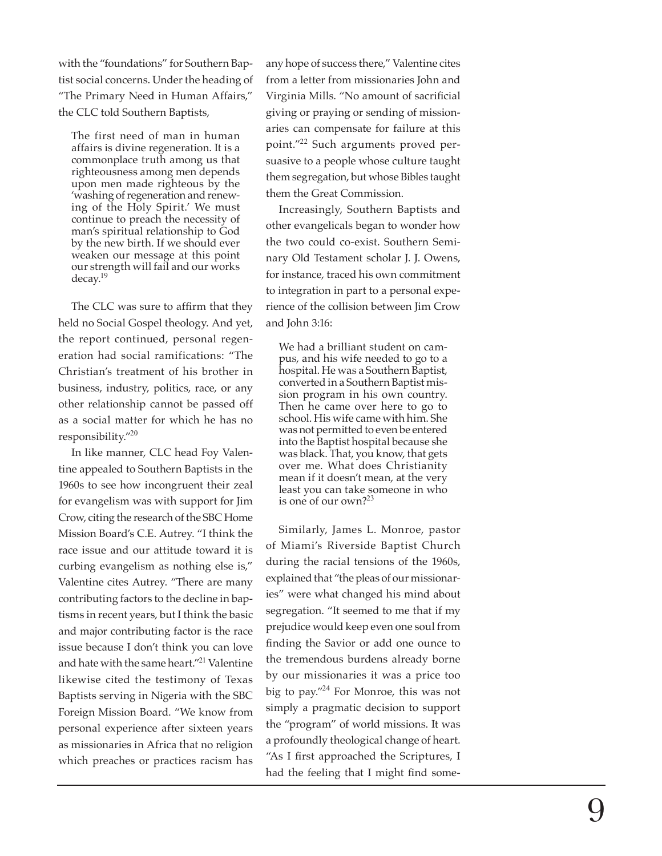with the "foundations" for Southern Baptist social concerns. Under the heading of "The Primary Need in Human Affairs," the CLC told Southern Baptists,

The first need of man in human affairs is divine regeneration. It is a commonplace truth among us that righteousness among men depends upon men made righteous by the 'washing of regeneration and renewing of the Holy Spirit.' We must continue to preach the necessity of man's spiritual relationship to God by the new birth. If we should ever weaken our message at this point our strength will fail and our works decay.<sup>19</sup>

The CLC was sure to affirm that they held no Social Gospel theology. And yet, the report continued, personal regeneration had social ramifications: "The Christian's treatment of his brother in business, industry, politics, race, or any other relationship cannot be passed off as a social matter for which he has no responsibility."<sup>20</sup>

In like manner, CLC head Foy Valentine appealed to Southern Baptists in the 1960s to see how incongruent their zeal for evangelism was with support for Jim Crow, citing the research of the SBC Home Mission Board's C.E. Autrey. "I think the race issue and our attitude toward it is curbing evangelism as nothing else is," Valentine cites Autrey. "There are many contributing factors to the decline in baptisms in recent years, but I think the basic and major contributing factor is the race issue because I don't think you can love and hate with the same heart."<sup>21</sup> Valentine likewise cited the testimony of Texas Baptists serving in Nigeria with the SBC Foreign Mission Board. "We know from personal experience after sixteen years as missionaries in Africa that no religion which preaches or practices racism has

any hope of success there," Valentine cites from a letter from missionaries John and Virginia Mills. "No amount of sacrificial giving or praying or sending of missionaries can compensate for failure at this point."<sup>22</sup> Such arguments proved persuasive to a people whose culture taught them segregation, but whose Bibles taught them the Great Commission.

Increasingly, Southern Baptists and other evangelicals began to wonder how the two could co-exist. Southern Seminary Old Testament scholar J. J. Owens, for instance, traced his own commitment to integration in part to a personal experience of the collision between Jim Crow and John 3:16:

We had a brilliant student on campus, and his wife needed to go to a hospital. He was a Southern Baptist, converted in a Southern Baptist mission program in his own country. Then he came over here to go to school. His wife came with him. She was not permitted to even be entered into the Baptist hospital because she was black. That, you know, that gets over me. What does Christianity mean if it doesn't mean, at the very least you can take someone in who is one of our own?<sup>23</sup>

Similarly, James L. Monroe, pastor of Miami's Riverside Baptist Church during the racial tensions of the 1960s, explained that "the pleas of our missionaries" were what changed his mind about segregation. "It seemed to me that if my prejudice would keep even one soul from<br>finding the Savior or add one ounce to the tremendous burdens already borne by our missionaries it was a price too big to pay."<sup>24</sup> For Monroe, this was not simply a pragmatic decision to support the "program" of world missions. It was a profoundly theological change of heart. "As I first approached the Scriptures, I had the feeling that I might find some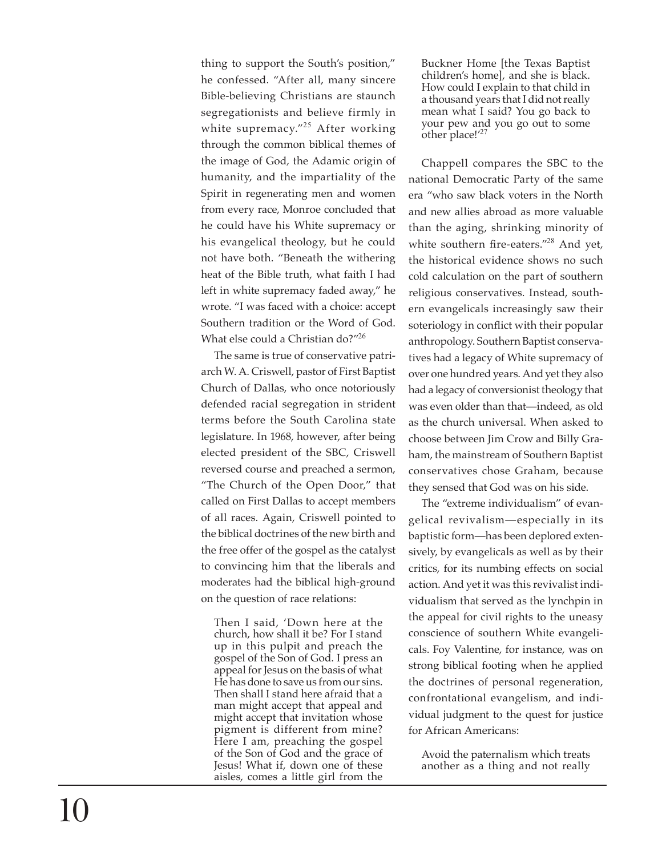thing to support the South's position," he confessed. "After all, many sincere Bible-believing Christians are staunch segregationists and believe firmly in white supremacy."<sup>25</sup> After working through the common biblical themes of the image of God*,* the Adamic origin of humanity, and the impartiality of the Spirit in regenerating men and women from every race, Monroe concluded that he could have his White supremacy or his evangelical theology, but he could not have both. "Beneath the withering heat of the Bible truth, what faith I had left in white supremacy faded away," he wrote. "I was faced with a choice: accept Southern tradition or the Word of God. What else could a Christian do?"26

The same is true of conservative patriarch W. A. Criswell, pastor of First Baptist Church of Dallas, who once notoriously defended racial segregation in strident terms before the South Carolina state legislature. In 1968, however, after being elected president of the SBC, Criswell reversed course and preached a sermon, "The Church of the Open Door," that called on First Dallas to accept members of all races. Again, Criswell pointed to the biblical doctrines of the new birth and the free offer of the gospel as the catalyst to convincing him that the liberals and moderates had the biblical high-ground on the question of race relations:

Then I said, 'Down here at the church, how shall it be? For I stand up in this pulpit and preach the gospel of the Son of God. I press an appeal for Jesus on the basis of what He has done to save us from our sins. Then shall I stand here afraid that a man might accept that appeal and might accept that invitation whose pigment is different from mine? Here I am, preaching the gospel of the Son of God and the grace of Jesus! What if, down one of these aisles, comes a little girl from the

Buckner Home [the Texas Baptist children's home], and she is black. How could I explain to that child in a thousand years that I did not really mean what I said? You go back to your pew and you go out to some other place! $^{\prime 27}$ 

Chappell compares the SBC to the national Democratic Party of the same era "who saw black voters in the North and new allies abroad as more valuable than the aging, shrinking minority of white southern fire-eaters."<sup>28</sup> And yet, the historical evidence shows no such cold calculation on the part of southern religious conservatives. Instead, southern evangelicals increasingly saw their soteriology in conflict with their popular anthropology. Southern Baptist conservatives had a legacy of White supremacy of over one hundred years. And yet they also had a legacy of conversionist theology that was even older than that—indeed, as old as the church universal. When asked to choose between Jim Crow and Billy Graham, the mainstream of Southern Baptist conservatives chose Graham, because they sensed that God was on his side.

The "extreme individualism" of evangelical revivalism—especially in its baptistic form—has been deplored extensively, by evangelicals as well as by their critics, for its numbing effects on social action. And yet it was this revivalist individualism that served as the lynchpin in the appeal for civil rights to the uneasy conscience of southern White evangelicals. Foy Valentine, for instance, was on strong biblical footing when he applied the doctrines of personal regeneration, confrontational evangelism, and individual judgment to the quest for justice for African Americans:

Avoid the paternalism which treats another as a thing and not really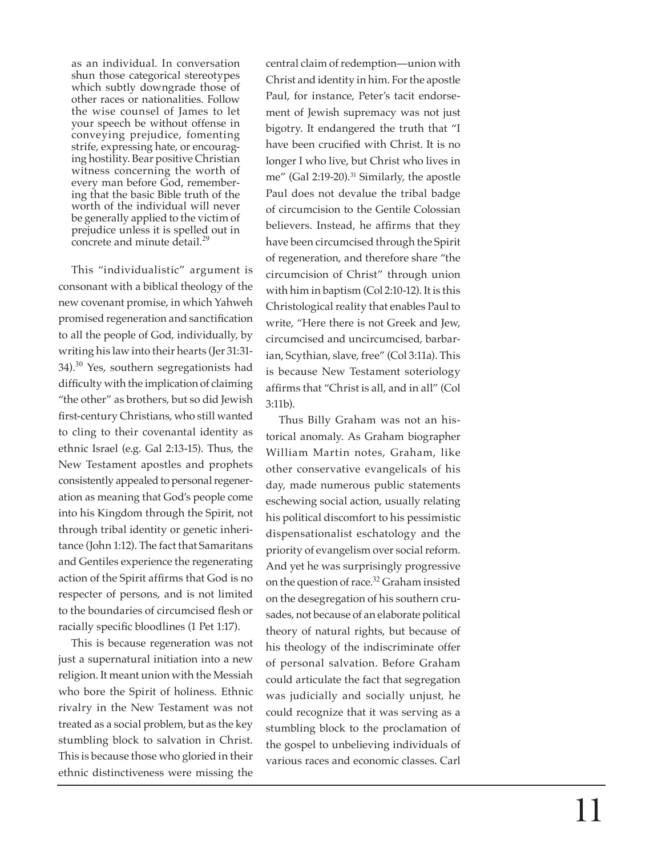as an individual. In conversation shun those categorical stereotypes which subtly downgrade those of other races or nationalities. Follow the wise counsel of James to let your speech be without offense in conveying prejudice, fomenting strife, expressing hate, or encouraging hostility. Bear positive Christian witness concerning the worth of every man before God, remembering that the basic Bible truth of the worth of the individual will never be generally applied to the victim of prejudice unless it is spelled out in concrete and minute detail.<sup>29</sup>

This "individualistic" argument is consonant with a biblical theology of the new covenant promise, in which Yahweh promised regeneration and sanctification to all the people of God, individually, by writing his law into their hearts (Jer 31:31- 34).<sup>30</sup> Yes, southern segregationists had difficulty with the implication of claiming "the other" as brothers, but so did Jewish<br>first-century Christians, who still wanted to cling to their covenantal identity as ethnic Israel (e.g. Gal 2:13-15). Thus, the New Testament apostles and prophets consistently appealed to personal regeneration as meaning that God's people come into his Kingdom through the Spirit, not through tribal identity or genetic inheritance (John 1:12). The fact that Samaritans and Gentiles experience the regenerating action of the Spirit affirms that God is no respecter of persons, and is not limited to the boundaries of circumcised flesh or racially speci fi c bloodlines (1 Pet 1:17).

This is because regeneration was not just a supernatural initiation into a new religion. It meant union with the Messiah who bore the Spirit of holiness. Ethnic rivalry in the New Testament was not treated as a social problem, but as the key stumbling block to salvation in Christ. This is because those who gloried in their ethnic distinctiveness were missing the

central claim of redemption—union with Christ and identity in him. For the apostle Paul, for instance, Peter's tacit endorsement of Jewish supremacy was not just bigotry. It endangered the truth that "I have been crucified with Christ. It is no longer I who live, but Christ who lives in me" (Gal 2:19-20).<sup>31</sup> Similarly, the apostle Paul does not devalue the tribal badge of circumcision to the Gentile Colossian believers. Instead, he affirms that they have been circumcised through the Spirit of regeneration, and therefore share "the circumcision of Christ" through union with him in baptism (Col 2:10-12). It is this Christological reality that enables Paul to write, "Here there is not Greek and Jew, circumcised and uncircumcised, barbarian, Scythian, slave, free" (Col 3:11a). This is because New Testament soteriology af fi rms that "Christ is all, and in all" (Col 3:11b).

Thus Billy Graham was not an historical anomaly. As Graham biographer William Martin notes, Graham, like other conservative evangelicals of his day, made numerous public statements eschewing social action, usually relating his political discomfort to his pessimistic dispensationalist eschatology and the priority of evangelism over social reform. And yet he was surprisingly progressive on the question of race.<sup>32</sup> Graham insisted on the desegregation of his southern crusades, not because of an elaborate political theory of natural rights, but because of his theology of the indiscriminate offer of personal salvation. Before Graham could articulate the fact that segregation was judicially and socially unjust, he could recognize that it was serving as a stumbling block to the proclamation of the gospel to unbelieving individuals of various races and economic classes. Carl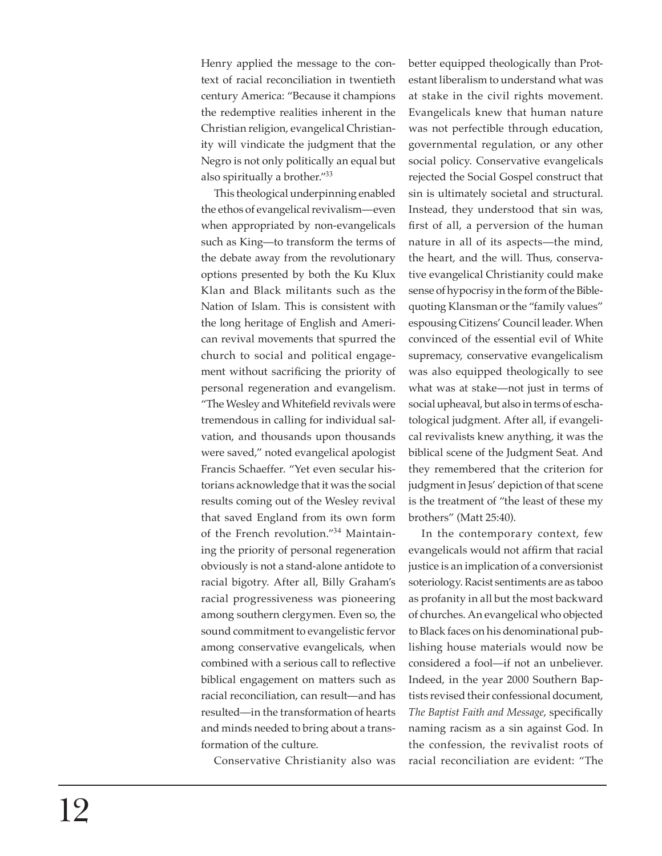Henry applied the message to the context of racial reconciliation in twentieth century America: "Because it champions the redemptive realities inherent in the Christian religion, evangelical Christianity will vindicate the judgment that the Negro is not only politically an equal but also spiritually a brother."<sup>33</sup>

This theological underpinning enabled the ethos of evangelical revivalism—even when appropriated by non-evangelicals such as King—to transform the terms of the debate away from the revolutionary options presented by both the Ku Klux Klan and Black militants such as the Nation of Islam. This is consistent with the long heritage of English and American revival movements that spurred the church to social and political engagement without sacrificing the priority of personal regeneration and evangelism. "The Wesley and Whitefield revivals were tremendous in calling for individual salvation, and thousands upon thousands were saved," noted evangelical apologist Francis Schaeffer. "Yet even secular historians acknowledge that it was the social results coming out of the Wesley revival that saved England from its own form of the French revolution."<sup>34</sup> Maintaining the priority of personal regeneration obviously is not a stand-alone antidote to racial bigotry. After all, Billy Graham's racial progressiveness was pioneering among southern clergymen. Even so, the sound commitment to evangelistic fervor among conservative evangelicals, when combined with a serious call to reflective biblical engagement on matters such as racial reconciliation, can result—and has resulted—in the transformation of hearts and minds needed to bring about a transformation of the culture.

Conservative Christianity also was

better equipped theologically than Protestant liberalism to understand what was at stake in the civil rights movement. Evangelicals knew that human nature was not perfectible through education, governmental regulation, or any other social policy. Conservative evangelicals rejected the Social Gospel construct that sin is ultimately societal and structural. Instead, they understood that sin was, first of all, a perversion of the human nature in all of its aspects—the mind, the heart, and the will. Thus, conservative evangelical Christianity could make sense of hypocrisy in the form of the Biblequoting Klansman or the "family values" espousing Citizens' Council leader. When convinced of the essential evil of White supremacy, conservative evangelicalism was also equipped theologically to see what was at stake—not just in terms of social upheaval, but also in terms of eschatological judgment. After all, if evangelical revivalists knew anything, it was the biblical scene of the Judgment Seat. And they remembered that the criterion for judgment in Jesus' depiction of that scene is the treatment of "the least of these my brothers" (Matt 25:40).

In the contemporary context, few evangelicals would not affirm that racial justice is an implication of a conversionist soteriology. Racist sentiments are as taboo as profanity in all but the most backward of churches. An evangelical who objected to Black faces on his denominational publishing house materials would now be considered a fool—if not an unbeliever. Indeed, in the year 2000 Southern Baptists revised their confessional document, **The Baptist Faith and Message, specifically** naming racism as a sin against God. In the confession, the revivalist roots of racial reconciliation are evident: "The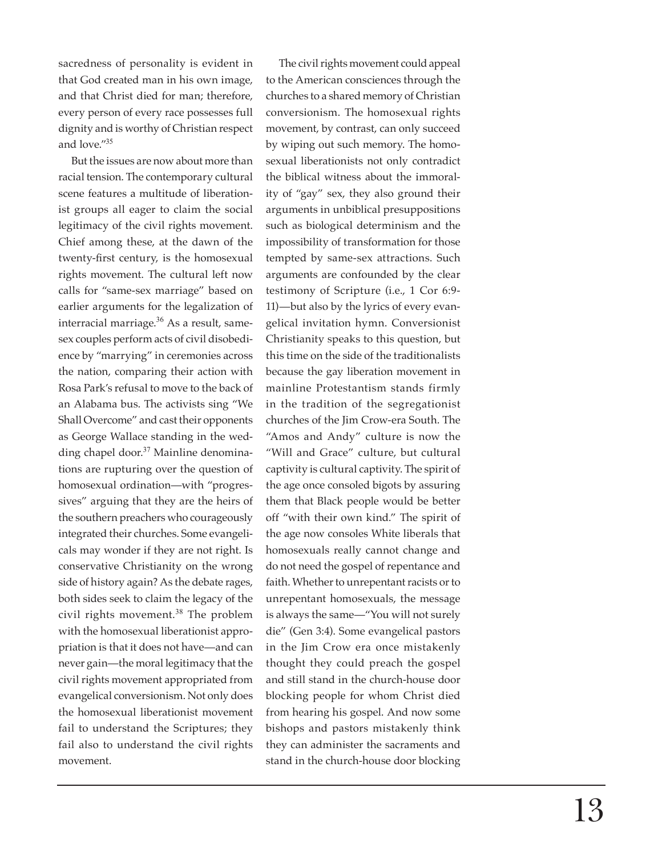sacredness of personality is evident in that God created man in his own image, and that Christ died for man; therefore, every person of every race possesses full dignity and is worthy of Christian respect and love."<sup>35</sup>

But the issues are now about more than racial tension. The contemporary cultural scene features a multitude of liberationist groups all eager to claim the social legitimacy of the civil rights movement. Chief among these, at the dawn of the twenty-first century, is the homosexual rights movement. The cultural left now calls for "same-sex marriage" based on earlier arguments for the legalization of interracial marriage. $36$  As a result, samesex couples perform acts of civil disobedience by "marrying" in ceremonies across the nation, comparing their action with Rosa Park's refusal to move to the back of an Alabama bus. The activists sing "We Shall Overcome" and cast their opponents as George Wallace standing in the wedding chapel door.<sup>37</sup> Mainline denominations are rupturing over the question of homosexual ordination—with "progressives" arguing that they are the heirs of the southern preachers who courageously integrated their churches. Some evangelicals may wonder if they are not right. Is conservative Christianity on the wrong side of history again? As the debate rages, both sides seek to claim the legacy of the civil rights movement. $38$  The problem with the homosexual liberationist appropriation is that it does not have—and can never gain—the moral legitimacy that the civil rights movement appropriated from evangelical conversionism. Not only does the homosexual liberationist movement fail to understand the Scriptures; they fail also to understand the civil rights movement.

The civil rights movement could appeal to the American consciences through the churches to a shared memory of Christian conversionism. The homosexual rights movement, by contrast, can only succeed by wiping out such memory. The homosexual liberationists not only contradict the biblical witness about the immorality of "gay" sex, they also ground their arguments in unbiblical presuppositions such as biological determinism and the impossibility of transformation for those tempted by same-sex attractions. Such arguments are confounded by the clear testimony of Scripture (i.e., 1 Cor 6:9- 11)—but also by the lyrics of every evangelical invitation hymn. Conversionist Christianity speaks to this question, but this time on the side of the traditionalists because the gay liberation movement in mainline Protestantism stands firmly in the tradition of the segregationist churches of the Jim Crow-era South. The "Amos and Andy" culture is now the "Will and Grace" culture, but cultural captivity is cultural captivity. The spirit of the age once consoled bigots by assuring them that Black people would be better off "with their own kind." The spirit of the age now consoles White liberals that homosexuals really cannot change and do not need the gospel of repentance and faith. Whether to unrepentant racists or to unrepentant homosexuals, the message is always the same—"You will not surely die" (Gen 3:4). Some evangelical pastors in the Jim Crow era once mistakenly thought they could preach the gospel and still stand in the church-house door blocking people for whom Christ died from hearing his gospel. And now some bishops and pastors mistakenly think they can administer the sacraments and stand in the church-house door blocking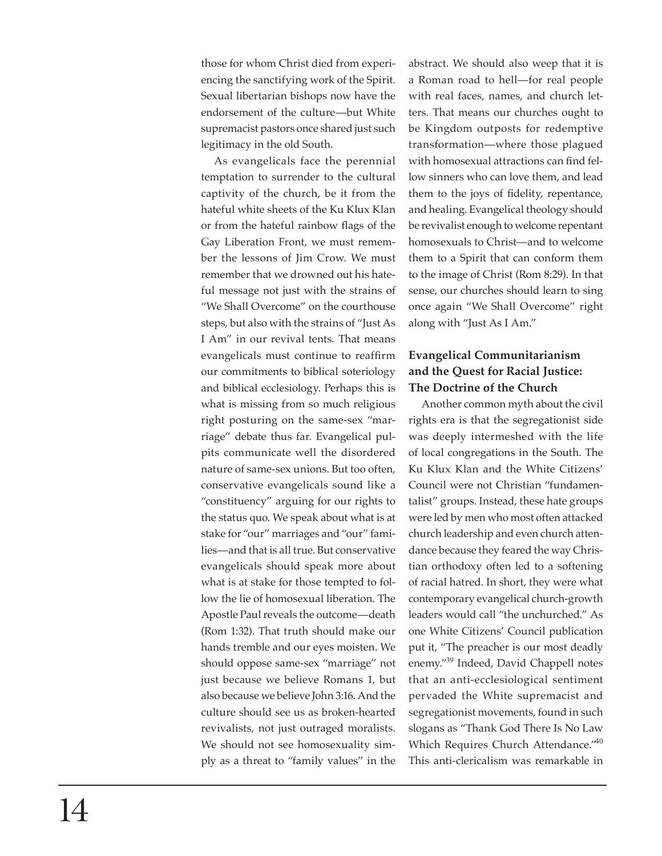those for whom Christ died from experiencing the sanctifying work of the Spirit. Sexual libertarian bishops now have the endorsement of the culture—but White supremacist pastors once shared just such legitimacy in the old South.

As evangelicals face the perennial temptation to surrender to the cultural captivity of the church, be it from the hateful white sheets of the Ku Klux Klan or from the hateful rainbow flags of the Gay Liberation Front, we must remember the lessons of Jim Crow. We must remember that we drowned out his hateful message not just with the strains of "We Shall Overcome" on the courthouse steps, but also with the strains of "Just As I Am" in our revival tents. That means evangelicals must continue to reaffirm our commitments to biblical soteriology and biblical ecclesiology. Perhaps this is what is missing from so much religious right posturing on the same-sex "marriage" debate thus far. Evangelical pulpits communicate well the disordered nature of same-sex unions. But too often, conservative evangelicals sound like a "constituency" arguing for our rights to the status quo. We speak about what is at stake for "our" marriages and "our" families—and that is all true. But conservative evangelicals should speak more about what is at stake for those tempted to follow the lie of homosexual liberation. The Apostle Paul reveals the outcome—death (Rom 1:32). That truth should make our hands tremble and our eyes moisten. We should oppose same-sex "marriage" not just because we believe Romans 1, but also because we believe John 3:16. And the culture should see us as broken-hearted revivalists, not just outraged moralists. We should not see homosexuality simply as a threat to "family values" in the

abstract. We should also weep that it is a Roman road to hell—for real people with real faces, names, and church letters. That means our churches ought to be Kingdom outposts for redemptive transformation—where those plagued with homosexual attractions can find fellow sinners who can love them, and lead them to the joys of fidelity, repentance, and healing. Evangelical theology should be revivalist enough to welcome repentant homosexuals to Christ—and to welcome them to a Spirit that can conform them to the image of Christ (Rom 8:29). In that sense, our churches should learn to sing once again "We Shall Overcome" right along with "Just As I Am."

## **Evangelical Communitarianism and the Quest for Racial Justice: The Doctrine of the Church**

Another common myth about the civil rights era is that the segregationist side was deeply intermeshed with the life of local congregations in the South. The Ku Klux Klan and the White Citizens' Council were not Christian "fundamentalist" groups. Instead, these hate groups were led by men who most often attacked church leadership and even church attendance because they feared the way Christian orthodoxy often led to a softening of racial hatred. In short, they were what contemporary evangelical church-growth leaders would call "the unchurched." As one White Citizens' Council publication put it, "The preacher is our most deadly enemy."<sup>39</sup> Indeed, David Chappell notes that an anti-ecclesiological sentiment pervaded the White supremacist and segregationist movements, found in such slogans as "Thank God There Is No Law Which Requires Church Attendance."<sup>40</sup> This anti-clericalism was remarkable in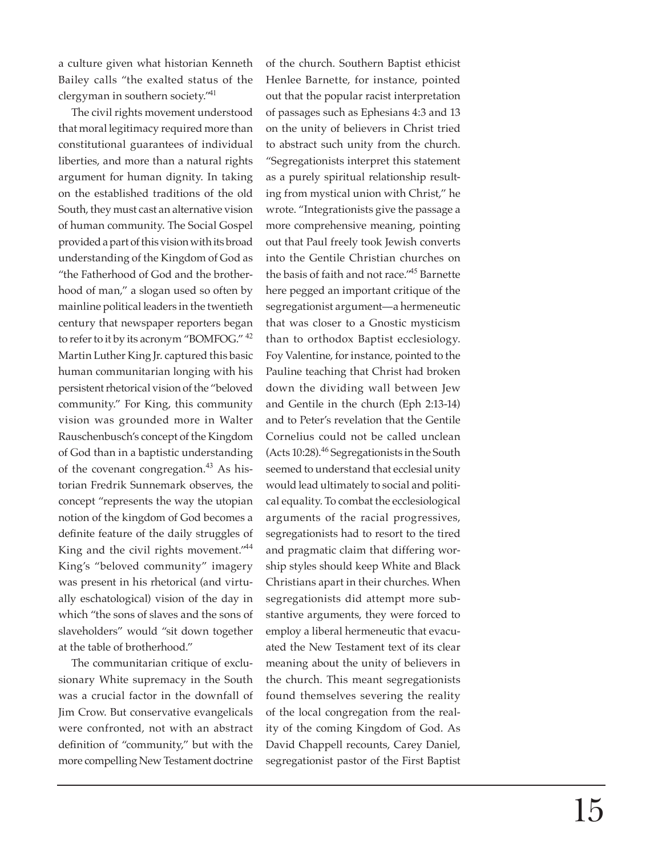a culture given what historian Kenneth Bailey calls "the exalted status of the clergyman in southern society."<sup>41</sup>

The civil rights movement understood that moral legitimacy required more than constitutional guarantees of individual liberties, and more than a natural rights argument for human dignity. In taking on the established traditions of the old South, they must cast an alternative vision of human community. The Social Gospel provided a part of this vision with its broad understanding of the Kingdom of God as "the Fatherhood of God and the brotherhood of man," a slogan used so often by mainline political leaders in the twentieth century that newspaper reporters began to refer to it by its acronym "BOMFOG." <sup>42</sup> Martin Luther King Jr. captured this basic human communitarian longing with his persistent rhetorical vision of the "beloved community." For King, this community vision was grounded more in Walter Rauschenbusch's concept of the Kingdom of God than in a baptistic understanding of the covenant congregation.<sup>43</sup> As historian Fredrik Sunnemark observes, the concept "represents the way the utopian notion of the kingdom of God becomes a definite feature of the daily struggles of King and the civil rights movement."<sup>44</sup> King's "beloved community" imagery was present in his rhetorical (and virtually eschatological) vision of the day in which "the sons of slaves and the sons of slaveholders" would "sit down together at the table of brotherhood."

The communitarian critique of exclusionary White supremacy in the South was a crucial factor in the downfall of Jim Crow. But conservative evangelicals were confronted, not with an abstract definition of "community," but with the more compelling New Testament doctrine

of the church. Southern Baptist ethicist Henlee Barnette, for instance, pointed out that the popular racist interpretation of passages such as Ephesians 4:3 and 13 on the unity of believers in Christ tried to abstract such unity from the church. "Segregationists interpret this statement as a purely spiritual relationship resulting from mystical union with Christ," he wrote. "Integrationists give the passage a more comprehensive meaning, pointing out that Paul freely took Jewish converts into the Gentile Christian churches on the basis of faith and not race."<sup>45</sup> Barnette here pegged an important critique of the segregationist argument—a hermeneutic that was closer to a Gnostic mysticism than to orthodox Baptist ecclesiology. Foy Valentine, for instance, pointed to the Pauline teaching that Christ had broken down the dividing wall between Jew and Gentile in the church (Eph 2:13-14) and to Peter's revelation that the Gentile Cornelius could not be called unclean (Acts 10:28). $46$  Segregationists in the South seemed to understand that ecclesial unity would lead ultimately to social and political equality. To combat the ecclesiological arguments of the racial progressives, segregationists had to resort to the tired and pragmatic claim that differing worship styles should keep White and Black Christians apart in their churches. When segregationists did attempt more substantive arguments, they were forced to employ a liberal hermeneutic that evacuated the New Testament text of its clear meaning about the unity of believers in the church. This meant segregationists found themselves severing the reality of the local congregation from the reality of the coming Kingdom of God. As David Chappell recounts, Carey Daniel, segregationist pastor of the First Baptist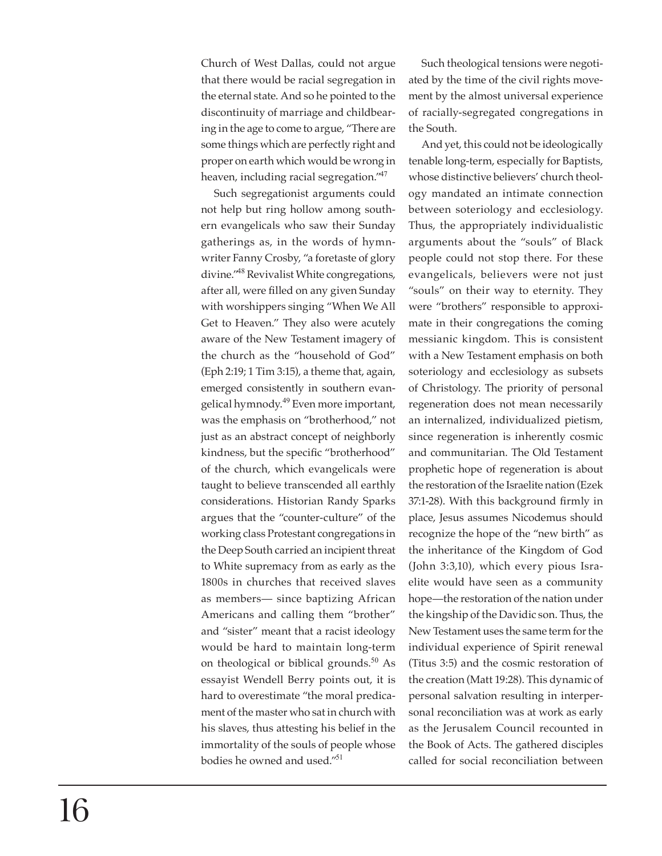Church of West Dallas, could not argue that there would be racial segregation in the eternal state. And so he pointed to the discontinuity of marriage and childbearing in the age to come to argue, "There are some things which are perfectly right and proper on earth which would be wrong in heaven, including racial segregation."<sup>47</sup>

Such segregationist arguments could not help but ring hollow among southern evangelicals who saw their Sunday gatherings as, in the words of hymnwriter Fanny Crosby, "a foretaste of glory divine."<sup>48</sup> Revivalist White congregations, after all, were filled on any given Sunday with worshippers singing "When We All Get to Heaven." They also were acutely aware of the New Testament imagery of the church as the "household of God" (Eph 2:19; 1 Tim 3:15), a theme that, again, emerged consistently in southern evangelical hymnody.<sup>49</sup> Even more important, was the emphasis on "brotherhood," not just as an abstract concept of neighborly kindness, but the specific "brotherhood" of the church, which evangelicals were taught to believe transcended all earthly considerations. Historian Randy Sparks argues that the "counter-culture" of the working class Protestant congregations in the Deep South carried an incipient threat to White supremacy from as early as the 1800s in churches that received slaves as members— since baptizing African Americans and calling them "brother" and "sister" meant that a racist ideology would be hard to maintain long-term on theological or biblical grounds. $50$  As essayist Wendell Berry points out, it is hard to overestimate "the moral predicament of the master who sat in church with his slaves, thus attesting his belief in the immortality of the souls of people whose bodies he owned and used."<sup>51</sup>

Such theological tensions were negotiated by the time of the civil rights movement by the almost universal experience of racially-segregated congregations in the South.

And yet, this could not be ideologically tenable long-term, especially for Baptists, whose distinctive believers' church theology mandated an intimate connection between soteriology and ecclesiology. Thus, the appropriately individualistic arguments about the "souls" of Black people could not stop there. For these evangelicals, believers were not just "souls" on their way to eternity. They were "brothers" responsible to approximate in their congregations the coming messianic kingdom. This is consistent with a New Testament emphasis on both soteriology and ecclesiology as subsets of Christology. The priority of personal regeneration does not mean necessarily an internalized, individualized pietism, since regeneration is inherently cosmic and communitarian. The Old Testament prophetic hope of regeneration is about the restoration of the Israelite nation (Ezek 37:1-28). With this background firmly in place, Jesus assumes Nicodemus should recognize the hope of the "new birth" as the inheritance of the Kingdom of God (John 3:3,10), which every pious Israelite would have seen as a community hope—the restoration of the nation under the kingship of the Davidic son. Thus, the New Testament uses the same term for the individual experience of Spirit renewal (Titus 3:5) and the cosmic restoration of the creation (Matt 19:28). This dynamic of personal salvation resulting in interpersonal reconciliation was at work as early as the Jerusalem Council recounted in the Book of Acts. The gathered disciples called for social reconciliation between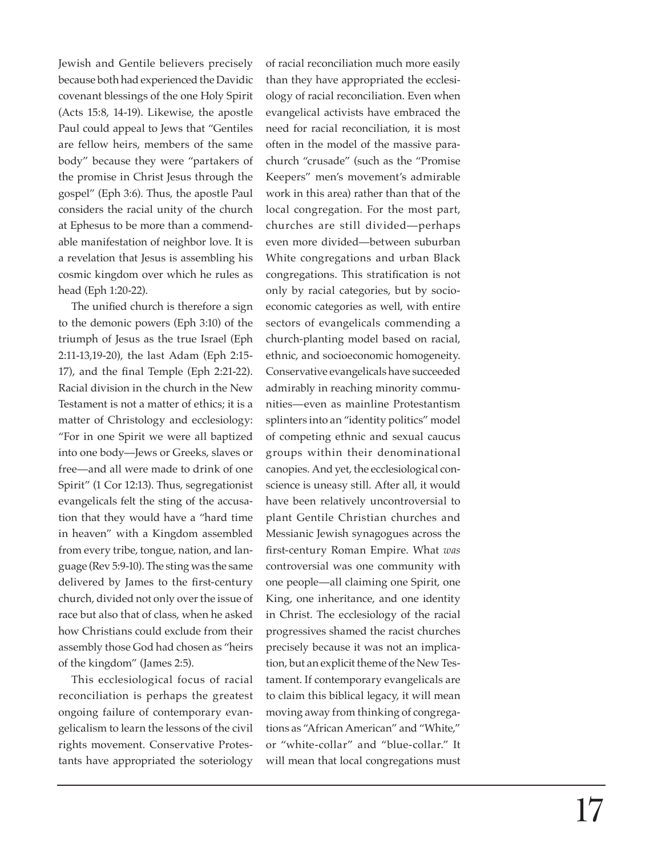Jewish and Gentile believers precisely because both had experienced the Davidic covenant blessings of the one Holy Spirit (Acts 15:8, 14-19). Likewise, the apostle Paul could appeal to Jews that "Gentiles are fellow heirs, members of the same body" because they were "partakers of the promise in Christ Jesus through the gospel" (Eph 3:6). Thus, the apostle Paul considers the racial unity of the church at Ephesus to be more than a commendable manifestation of neighbor love. It is a revelation that Jesus is assembling his cosmic kingdom over which he rules as head (Eph 1:20-22).

The unified church is therefore a sign to the demonic powers (Eph 3:10) of the triumph of Jesus as the true Israel (Eph 2:11-13,19-20), the last Adam (Eph 2:15-  $17$ ), and the final Temple (Eph 2:21-22). Racial division in the church in the New Testament is not a matter of ethics; it is a matter of Christology and ecclesiology: "For in one Spirit we were all baptized into one body—Jews or Greeks, slaves or free—and all were made to drink of one Spirit" (1 Cor 12:13). Thus, segregationist evangelicals felt the sting of the accusation that they would have a "hard time in heaven" with a Kingdom assembled from every tribe, tongue, nation, and language (Rev 5:9-10). The sting was the same delivered by James to the first-century church, divided not only over the issue of race but also that of class, when he asked how Christians could exclude from their assembly those God had chosen as "heirs of the kingdom" (James 2:5).

This ecclesiological focus of racial reconciliation is perhaps the greatest ongoing failure of contemporary evangelicalism to learn the lessons of the civil rights movement. Conservative Protestants have appropriated the soteriology

of racial reconciliation much more easily than they have appropriated the ecclesiology of racial reconciliation. Even when evangelical activists have embraced the need for racial reconciliation, it is most often in the model of the massive parachurch "crusade" (such as the "Promise Keepers" men's movement's admirable work in this area) rather than that of the local congregation. For the most part, churches are still divided—perhaps even more divided—between suburban White congregations and urban Black congregations. This stratification is not only by racial categories, but by socioeconomic categories as well, with entire sectors of evangelicals commending a church-planting model based on racial, ethnic, and socioeconomic homogeneity. Conservative evangelicals have succeeded admirably in reaching minority communities—even as mainline Protestantism splinters into an "identity politics" model of competing ethnic and sexual caucus groups within their denominational canopies. And yet, the ecclesiological conscience is uneasy still. After all, it would have been relatively uncontroversial to plant Gentile Christian churches and Messianic Jewish synagogues across the first-century Roman Empire. What *was* controversial was one community with one people—all claiming one Spirit, one King, one inheritance, and one identity in Christ. The ecclesiology of the racial progressives shamed the racist churches precisely because it was not an implication, but an explicit theme of the New Testament. If contemporary evangelicals are to claim this biblical legacy, it will mean moving away from thinking of congregations as "African American" and "White," or "white-collar" and "blue-collar." It will mean that local congregations must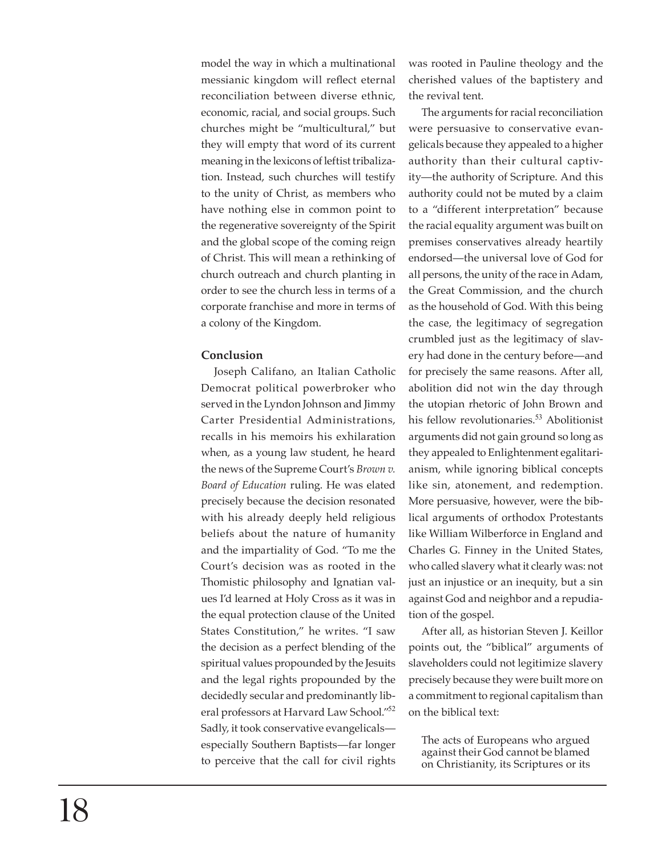model the way in which a multinational messianic kingdom will reflect eternal reconciliation between diverse ethnic, economic, racial, and social groups. Such churches might be "multicultural," but they will empty that word of its current meaning in the lexicons of leftist tribalization. Instead, such churches will testify to the unity of Christ, as members who have nothing else in common point to the regenerative sovereignty of the Spirit and the global scope of the coming reign of Christ. This will mean a rethinking of church outreach and church planting in order to see the church less in terms of a corporate franchise and more in terms of a colony of the Kingdom.

#### **Conclusion**

Joseph Califano, an Italian Catholic Democrat political powerbroker who served in the Lyndon Johnson and Jimmy Carter Presidential Administrations, recalls in his memoirs his exhilaration when, as a young law student, he heard the news of the Supreme Court's *Brown v. Board of Education* ruling. He was elated precisely because the decision resonated with his already deeply held religious beliefs about the nature of humanity and the impartiality of God. "To me the Court's decision was as rooted in the Thomistic philosophy and Ignatian values I'd learned at Holy Cross as it was in the equal protection clause of the United States Constitution," he writes. "I saw the decision as a perfect blending of the spiritual values propounded by the Jesuits and the legal rights propounded by the decidedly secular and predominantly liberal professors at Harvard Law School."<sup>52</sup> Sadly, it took conservative evangelicals especially Southern Baptists—far longer to perceive that the call for civil rights

was rooted in Pauline theology and the cherished values of the baptistery and the revival tent.

The arguments for racial reconciliation were persuasive to conservative evangelicals because they appealed to a higher authority than their cultural captivity—the authority of Scripture. And this authority could not be muted by a claim to a "different interpretation" because the racial equality argument was built on premises conservatives already heartily endorsed—the universal love of God for all persons, the unity of the race in Adam, the Great Commission, and the church as the household of God. With this being the case, the legitimacy of segregation crumbled just as the legitimacy of slavery had done in the century before—and for precisely the same reasons. After all, abolition did not win the day through the utopian rhetoric of John Brown and his fellow revolutionaries.<sup>53</sup> Abolitionist arguments did not gain ground so long as they appealed to Enlightenment egalitarianism, while ignoring biblical concepts like sin, atonement, and redemption. More persuasive, however, were the biblical arguments of orthodox Protestants like William Wilberforce in England and Charles G. Finney in the United States, who called slavery what it clearly was: not just an injustice or an inequity, but a sin against God and neighbor and a repudiation of the gospel.

After all, as historian Steven J. Keillor points out, the "biblical" arguments of slaveholders could not legitimize slavery precisely because they were built more on a commitment to regional capitalism than on the biblical text:

The acts of Europeans who argued against their God cannot be blamed on Christianity, its Scriptures or its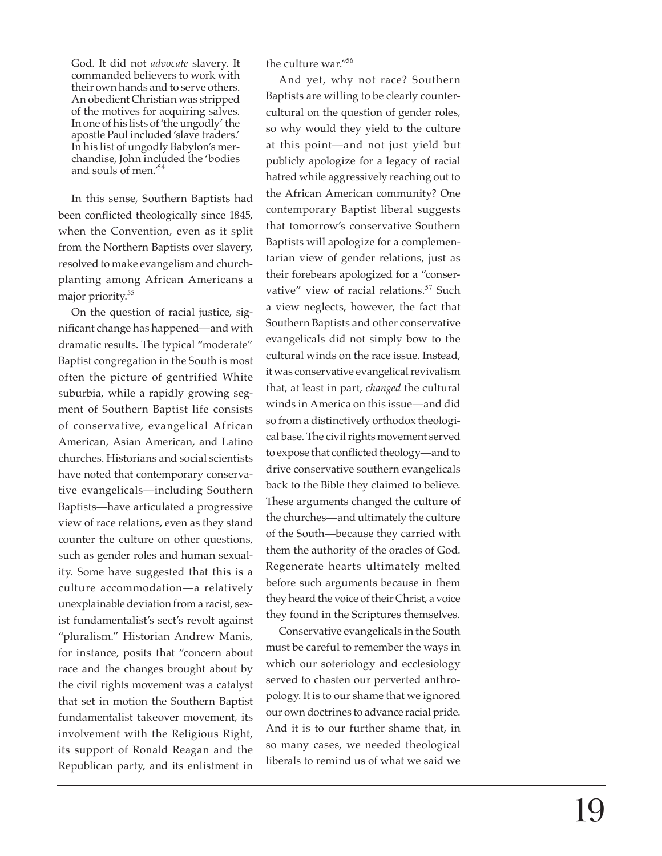God. It did not *advocate* slavery. It commanded believers to work with their own hands and to serve others. An obedient Christian was stripped of the motives for acquiring salves. In one of his lists of 'the ungodly' the apostle Paul included 'slave traders.' In his list of ungodly Babylon's merchandise, John included the 'bodies and souls of men.'<sup>54</sup>

In this sense, Southern Baptists had been con fl icted theologically since 1845, when the Convention, even as it split from the Northern Baptists over slavery, resolved to make evangelism and churchplanting among African Americans a major priority.<sup>55</sup>

On the question of racial justice, significant change has happened—and with dramatic results. The typical "moderate" Baptist congregation in the South is most often the picture of gentrified White suburbia, while a rapidly growing segment of Southern Baptist life consists of conservative, evangelical African American, Asian American, and Latino churches. Historians and social scientists have noted that contemporary conservative evangelicals—including Southern Baptists—have articulated a progressive view of race relations, even as they stand counter the culture on other questions, such as gender roles and human sexuality. Some have suggested that this is a culture accommodation—a relatively unexplainable deviation from a racist, sexist fundamentalist's sect's revolt against "pluralism." Historian Andrew Manis, for instance, posits that "concern about race and the changes brought about by the civil rights movement was a catalyst that set in motion the Southern Baptist fundamentalist takeover movement, its involvement with the Religious Right, its support of Ronald Reagan and the Republican party, and its enlistment in the culture war."<sup>56</sup>

And yet, why not race? Southern Baptists are willing to be clearly countercultural on the question of gender roles, so why would they yield to the culture at this point—and not just yield but publicly apologize for a legacy of racial hatred while aggressively reaching out to the African American community? One contemporary Baptist liberal suggests that tomorrow's conservative Southern Baptists will apologize for a complementarian view of gender relations, just as their forebears apologized for a "conservative" view of racial relations.<sup>57</sup> Such a view neglects, however, the fact that Southern Baptists and other conservative evangelicals did not simply bow to the cultural winds on the race issue. Instead, it was conservative evangelical revivalism that, at least in part, *changed* the cultural winds in America on this issue—and did so from a distinctively orthodox theological base. The civil rights movement served to expose that conflicted theology—and to drive conservative southern evangelicals back to the Bible they claimed to believe. These arguments changed the culture of the churches—and ultimately the culture of the South—because they carried with them the authority of the oracles of God. Regenerate hearts ultimately melted before such arguments because in them they heard the voice of their Christ, a voice they found in the Scriptures themselves.

Conservative evangelicals in the South must be careful to remember the ways in which our soteriology and ecclesiology served to chasten our perverted anthropology. It is to our shame that we ignored our own doctrines to advance racial pride. And it is to our further shame that, in so many cases, we needed theological liberals to remind us of what we said we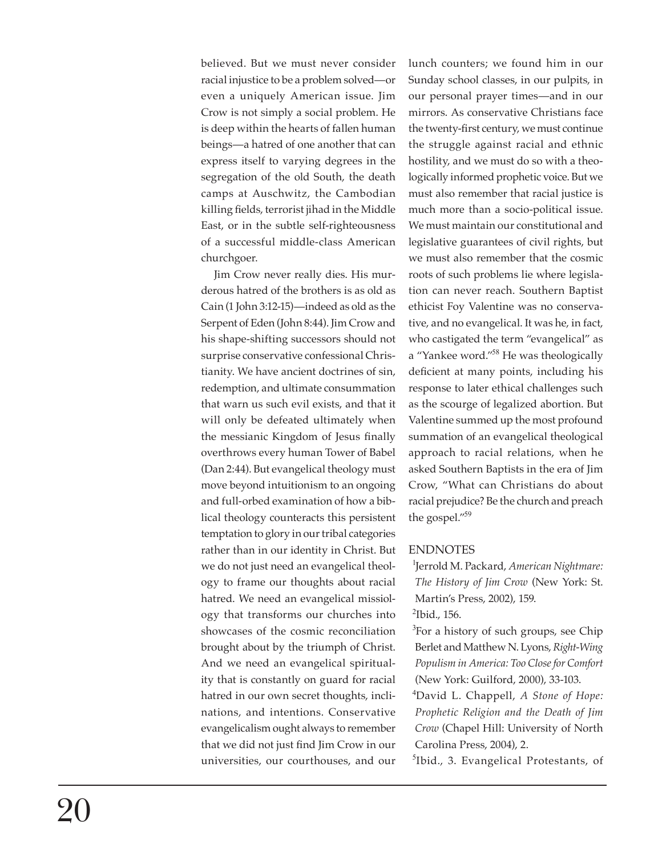believed. But we must never consider racial injustice to be a problem solved—or even a uniquely American issue. Jim Crow is not simply a social problem. He is deep within the hearts of fallen human beings—a hatred of one another that can express itself to varying degrees in the segregation of the old South, the death camps at Auschwitz, the Cambodian killing fields, terrorist jihad in the Middle East, or in the subtle self-righteousness of a successful middle-class American churchgoer.

Jim Crow never really dies. His murderous hatred of the brothers is as old as Cain (1 John 3:12-15)—indeed as old as the Serpent of Eden (John 8:44). Jim Crow and his shape-shifting successors should not surprise conservative confessional Christianity. We have ancient doctrines of sin, redemption, and ultimate consummation that warn us such evil exists, and that it will only be defeated ultimately when the messianic Kingdom of Jesus finally overthrows every human Tower of Babel (Dan 2:44). But evangelical theology must move beyond intuitionism to an ongoing and full-orbed examination of how a biblical theology counteracts this persistent temptation to glory in our tribal categories rather than in our identity in Christ. But we do not just need an evangelical theology to frame our thoughts about racial hatred. We need an evangelical missiology that transforms our churches into showcases of the cosmic reconciliation brought about by the triumph of Christ. And we need an evangelical spirituality that is constantly on guard for racial hatred in our own secret thoughts, inclinations, and intentions. Conservative evangelicalism ought always to remember that we did not just find Jim Crow in our universities, our courthouses, and our lunch counters; we found him in our Sunday school classes, in our pulpits, in our personal prayer times—and in our mirrors. As conservative Christians face the twenty-first century, we must continue the struggle against racial and ethnic hostility, and we must do so with a theologically informed prophetic voice. But we must also remember that racial justice is much more than a socio-political issue. We must maintain our constitutional and legislative guarantees of civil rights, but we must also remember that the cosmic roots of such problems lie where legislation can never reach. Southern Baptist ethicist Foy Valentine was no conservative, and no evangelical. It was he, in fact, who castigated the term "evangelical" as a "Yankee word."<sup>58</sup> He was theologically deficient at many points, including his response to later ethical challenges such as the scourge of legalized abortion. But Valentine summed up the most profound summation of an evangelical theological approach to racial relations, when he asked Southern Baptists in the era of Jim Crow, "What can Christians do about racial prejudice? Be the church and preach the gospel."<sup>59</sup>

#### ENDNOTES

<sup>1</sup>Jerrold M. Packard, *American Nightmare: The History of Jim Crow* (New York: St. Martin's Press, 2002), 159.  $\textsuperscript{2}$ Ibid., 156.

<sup>3</sup>For a history of such groups, see Chip Berlet and Matthew N. Lyons, *Right-Wing Populism in America: Too Close for Comfort*  (New York: Guilford, 2000), 33-103.

<sup>4</sup>David L. Chappell, *A Stone of Hope: Prophetic Religion and the Death of Jim Crow* (Chapel Hill: University of North Carolina Press, 2004), 2.

<sup>5</sup>Ibid., 3. Evangelical Protestants, of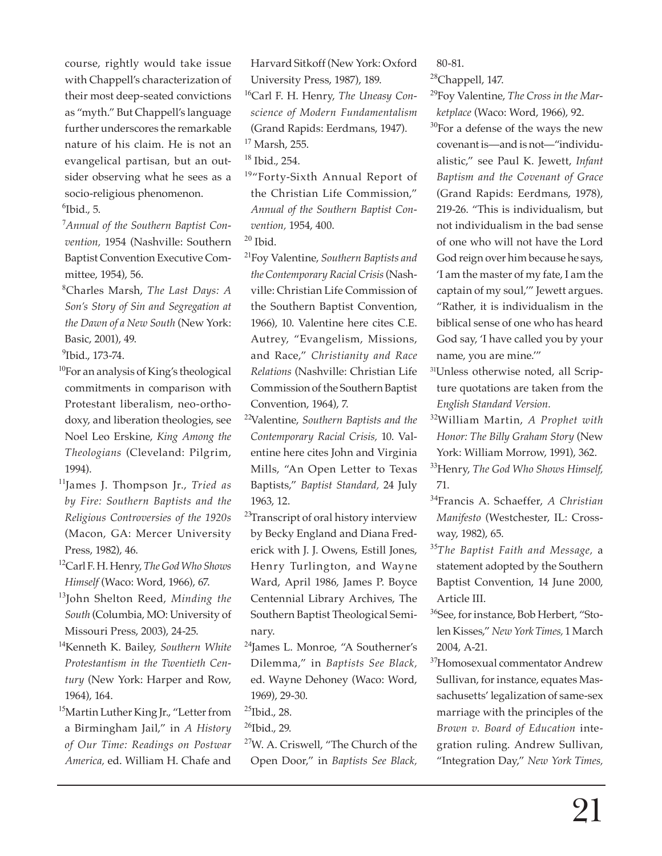course, rightly would take issue with Chappell's characterization of their most deep-seated convictions as "myth." But Chappell's language further underscores the remarkable nature of his claim. He is not an evangelical partisan, but an outsider observing what he sees as a socio-religious phenomenon.  $6$ Ibid., 5.

<sup>7</sup>*Annual of the Southern Baptist Convention,* 1954 (Nashville: Southern Baptist Convention Executive Committee, 1954), 56.

<sup>8</sup>Charles Marsh, *The Last Days: A Son's Story of Sin and Segregation at the Dawn of a New South* (New York: Basic, 2001), 49.

<sup>9</sup>Ibid., 173-74.

- <sup>10</sup>For an analysis of King's theological commitments in comparison with Protestant liberalism, neo-orthodoxy, and liberation theologies, see Noel Leo Erskine, *King Among the Theologians* (Cleveland: Pilgrim, 1994).
- <sup>11</sup>James J. Thompson Jr., *Tried as by Fire: Southern Baptists and the Religious Controversies of the 1920s*  (Macon, GA: Mercer University Press, 1982), 46.
- <sup>12</sup>Carl F. H. Henry, *The God Who Shows Himself* (Waco: Word, 1966), 67.
- <sup>13</sup>John Shelton Reed, *Minding the South* (Columbia, MO: University of Missouri Press, 2003), 24-25.
- <sup>14</sup>Kenneth K. Bailey, *Southern White Protestantism in the Twentieth Century* (New York: Harper and Row, 1964), 164.
- <sup>15</sup>Martin Luther King Jr., "Letter from a Birmingham Jail," in *A History of Our Time: Readings on Postwar America,* ed. William H. Chafe and

Harvard Sitkoff (New York: Oxford University Press, 1987), 189. <sup>16</sup>Carl F. H. Henry, *The Uneasy Conscience of Modern Fundamentalism*  (Grand Rapids: Eerdmans, 1947). <sup>17</sup> Marsh, 255.

 $18$  Ibid., 254.

<sup>19</sup>"Forty-Sixth Annual Report of the Christian Life Commission," *Annual of the Southern Baptist Convention,* 1954, 400.

- $20$  Ibid.
- <sup>21</sup>Foy Valentine, *Southern Baptists and the Contemporary Racial Crisis* (Nashville: Christian Life Commission of the Southern Baptist Convention, 1966), 10. Valentine here cites C.E. Autrey, "Evangelism, Missions, and Race," *Christianity and Race Relations* (Nashville: Christian Life Commission of the Southern Baptist Convention, 1964), 7.
- <sup>22</sup>Valentine, *Southern Baptists and the Contemporary Racial Crisis,* 10. Valentine here cites John and Virginia Mills, "An Open Letter to Texas Baptists," *Baptist Standard,* 24 July 1963, 12.
- <sup>23</sup>Transcript of oral history interview by Becky England and Diana Frederick with J. J. Owens, Estill Jones, Henry Turlington, and Wayne Ward, April 1986, James P. Boyce Centennial Library Archives, The Southern Baptist Theological Seminary.
- <sup>24</sup>James L. Monroe, "A Southerner's Dilemma," in *Baptists See Black,*  ed. Wayne Dehoney (Waco: Word, 1969), 29-30.
- $^{25}$ Ibid., 28.
- <sup>26</sup>Ibid., 29.
- <sup>27</sup>W. A. Criswell, "The Church of the Open Door," in *Baptists See Black,*

80-81.

 $28$ Chappell, 147.

<sup>29</sup>Foy Valentine, *The Cross in the Marketplace* (Waco: Word, 1966), 92.

- $30$ For a defense of the ways the new covenant is—and is not—"individualistic," see Paul K. Jewett, *Infant Baptism and the Covenant of Grace*  (Grand Rapids: Eerdmans, 1978), 219-26. "This is individualism, but not individualism in the bad sense of one who will not have the Lord God reign over him because he says, 'I am the master of my fate, I am the captain of my soul,'" Jewett argues. "Rather, it is individualism in the biblical sense of one who has heard God say, 'I have called you by your name, you are mine.'"
- 31Unless otherwise noted, all Scripture quotations are taken from the *English Standard Version.*
- <sup>32</sup>William Martin, *A Prophet with Honor: The Billy Graham Story* (New York: William Morrow, 1991), 362.
- <sup>33</sup>Henry, *The God Who Shows Himself,*  71.
- <sup>34</sup>Francis A. Schaeffer, *A Christian Manifesto* (Westchester, IL: Crossway, 1982), 65.
- <sup>35</sup>*The Baptist Faith and Message,* a statement adopted by the Southern Baptist Convention, 14 June 2000, Article III.
- <sup>36</sup>See, for instance, Bob Herbert, "Stolen Kisses," *New York Times,* 1 March 2004, A-21.
- <sup>37</sup>Homosexual commentator Andrew Sullivan, for instance, equates Massachusetts' legalization of same-sex marriage with the principles of the *Brown v. Board of Education* integration ruling. Andrew Sullivan, "Integration Day," *New York Times,*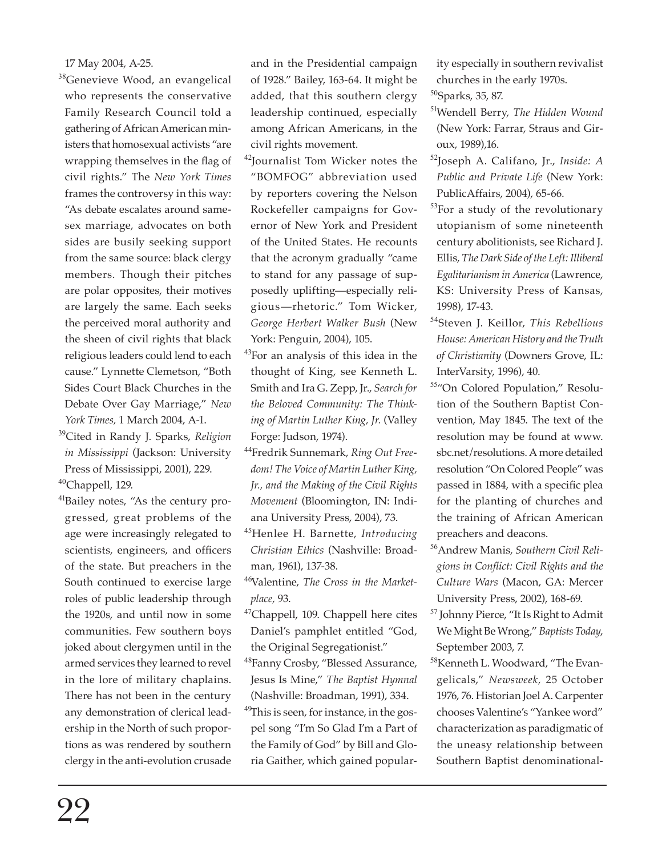17 May 2004, A-25.

<sup>38</sup>Genevieve Wood, an evangelical who represents the conservative Family Research Council told a gathering of African American ministers that homosexual activists "are wrapping themselves in the flag of civil rights." The *New York Times*  frames the controversy in this way: "As debate escalates around samesex marriage, advocates on both sides are busily seeking support from the same source: black clergy members. Though their pitches are polar opposites, their motives are largely the same. Each seeks the perceived moral authority and the sheen of civil rights that black religious leaders could lend to each cause." Lynnette Clemetson, "Both Sides Court Black Churches in the Debate Over Gay Marriage," *New York Times,* 1 March 2004, A-1.

<sup>39</sup>Cited in Randy J. Sparks, *Religion in Mississippi* (Jackson: University Press of Mississippi, 2001), 229.

<sup>40</sup>Chappell, 129*.*

<sup>41</sup>Bailey notes, "As the century progressed, great problems of the age were increasingly relegated to scientists, engineers, and officers of the state. But preachers in the South continued to exercise large roles of public leadership through the 1920s, and until now in some communities. Few southern boys joked about clergymen until in the armed services they learned to revel in the lore of military chaplains. There has not been in the century any demonstration of clerical leadership in the North of such proportions as was rendered by southern clergy in the anti-evolution crusade

and in the Presidential campaign of 1928." Bailey, 163-64. It might be added, that this southern clergy leadership continued, especially among African Americans, in the civil rights movement.

<sup>42</sup>Journalist Tom Wicker notes the "BOMFOG" abbreviation used by reporters covering the Nelson Rockefeller campaigns for Governor of New York and President of the United States. He recounts that the acronym gradually "came to stand for any passage of supposedly uplifting—especially religious—rhetoric." Tom Wicker, *George Herbert Walker Bush* (New York: Penguin, 2004), 105.

- <sup>43</sup>For an analysis of this idea in the thought of King, see Kenneth L. Smith and Ira G. Zepp, Jr., *Search for the Beloved Community: The Thinking of Martin Luther King, Jr.* (Valley Forge: Judson, 1974).
- <sup>44</sup>Fredrik Sunnemark, *Ring Out Freedom! The Voice of Martin Luther King, Jr., and the Making of the Civil Rights Movement* (Bloomington, IN: Indiana University Press, 2004), 73.
- <sup>45</sup>Henlee H. Barnette, *Introducing Christian Ethics* (Nashville: Broadman, 1961), 137-38.
- <sup>46</sup>Valentine, *The Cross in the Marketplace,* 93.
- $47$ Chappell, 109. Chappell here cites Daniel's pamphlet entitled "God, the Original Segregationist."
- <sup>48</sup>Fanny Crosby, "Blessed Assurance, Jesus Is Mine," *The Baptist Hymnal*  (Nashville: Broadman, 1991), 334.
- <sup>49</sup>This is seen, for instance, in the gospel song "I'm So Glad I'm a Part of the Family of God" by Bill and Gloria Gaither, which gained popular-

ity especially in southern revivalist churches in the early 1970s.

- <sup>50</sup>Sparks, 35, 87.
- <sup>51</sup>Wendell Berry, *The Hidden Wound*  (New York: Farrar, Straus and Giroux, 1989),16.
- <sup>52</sup>Joseph A. Califano, Jr., *Inside: A Public and Private Life* (New York: PublicAffairs, 2004), 65-66.
- <sup>53</sup>For a study of the revolutionary utopianism of some nineteenth century abolitionists, see Richard J. Ellis, *The Dark Side of the Left: Illiberal Egalitarianism in America* (Lawrence, KS: University Press of Kansas, 1998), 17-43.
- <sup>54</sup>Steven J. Keillor, *This Rebellious House: American History and the Truth of Christianity* (Downers Grove, IL: InterVarsity, 1996), 40.
- 55"On Colored Population," Resolution of the Southern Baptist Convention, May 1845. The text of the resolution may be found at www. sbc.net/resolutions. A more detailed resolution "On Colored People" was passed in 1884, with a specific plea for the planting of churches and the training of African American preachers and deacons.
- <sup>56</sup>Andrew Manis, *Southern Civil Religions in Confl ict: Civil Rights and the Culture Wars* (Macon, GA: Mercer University Press, 2002), 168-69.
- <sup>57</sup> Johnny Pierce, "It Is Right to Admit We Might Be Wrong," *Baptists Today*, September 2003, 7.
- <sup>58</sup>Kenneth L. Woodward, "The Evangelicals," *Newsweek,* 25 October 1976, 76. Historian Joel A. Carpenter chooses Valentine's "Yankee word" characterization as paradigmatic of the uneasy relationship between Southern Baptist denominational-